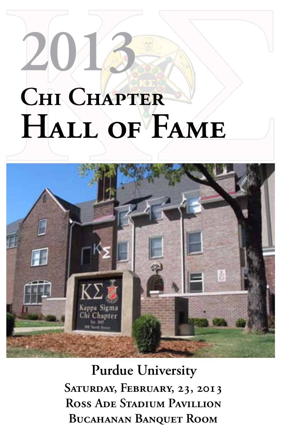# **Chi Chapter Hall of Fame 2013**



**Purdue University Saturday, February, 23, 2013 Ross Ade Stadium Pavillion Bucahanan Banquet Room**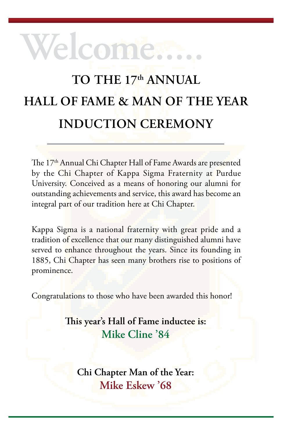## **To the 17th annual Hall of fame & Man of the Year Induction ceremony**

**welcome.....**

The 17<sup>th</sup> Annual Chi Chapter Hall of Fame Awards are presented by the Chi Chapter of Kappa Sigma Fraternity at Purdue University. Conceived as a means of honoring our alumni for outstanding achievements and service, this award has become an integral part of our tradition here at Chi Chapter.

Kappa Sigma is a national fraternity with great pride and a tradition of excellence that our many distinguished alumni have served to enhance throughout the years. Since its founding in 1885, Chi Chapter has seen many brothers rise to positions of prominence.

Congratulations to those who have been awarded this honor!

**This year's Hall of Fame inductee is: Mike Cline '84**

**Chi Chapter Man of the Year: Mike Eskew '68**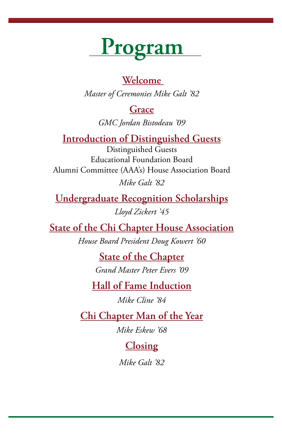# **Program**

#### **Welcome**

*Master of Ceremonies Mike Galt '82*

#### **Grace**

*GMC Jordan Bistodeau '09*

#### **Introduction of Distinguished Guests**

Distinguished Guests Educational Foundation Board Alumni Committee (AAA's) House Association Board *Mike Galt '82*

**Undergraduate Recognition Scholarships** *Lloyd Zickert '45*

**State of the Chi Chapter House Association**

*House Board President Doug Kowert '60*

**State of the Chapter** *Grand Master Peter Evers '09*

**Hall of Fame Induction**

*Mike Cline '84*

**Chi Chapter Man of the Year**

*Mike Eskew '68*

**Closing**

*Mike Galt '82*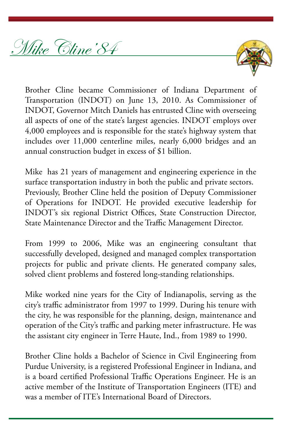Mike Cline'84



Brother Cline became Commissioner of Indiana Department of Transportation (INDOT) on June 13, 2010. As Commissioner of INDOT, Governor Mitch Daniels has entrusted Cline with overseeing all aspects of one of the state's largest agencies. INDOT employs over 4,000 employees and is responsible for the state's highway system that includes over 11,000 centerline miles, nearly 6,000 bridges and an annual construction budget in excess of \$1 billion.

Mike has 21 years of management and engineering experience in the surface transportation industry in both the public and private sectors. Previously, Brother Cline held the position of Deputy Commissioner of Operations for INDOT. He provided executive leadership for INDOT's six regional District Offices, State Construction Director, State Maintenance Director and the Traffic Management Director.

From 1999 to 2006, Mike was an engineering consultant that successfully developed, designed and managed complex transportation projects for public and private clients. He generated company sales, solved client problems and fostered long-standing relationships.

Mike worked nine years for the City of Indianapolis, serving as the city's traffic administrator from 1997 to 1999. During his tenure with the city, he was responsible for the planning, design, maintenance and operation of the City's traffic and parking meter infrastructure. He was the assistant city engineer in Terre Haute, Ind., from 1989 to 1990.

Brother Cline holds a Bachelor of Science in Civil Engineering from Purdue University, is a registered Professional Engineer in Indiana, and is a board certified Professional Traffic Operations Engineer. He is an active member of the Institute of Transportation Engineers (ITE) and was a member of ITE's International Board of Directors.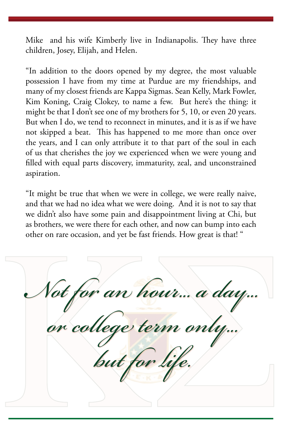Mike and his wife Kimberly live in Indianapolis. They have three children, Josey, Elijah, and Helen.

"In addition to the doors opened by my degree, the most valuable possession I have from my time at Purdue are my friendships, and many of my closest friends are Kappa Sigmas. Sean Kelly, Mark Fowler, Kim Koning, Craig Clokey, to name a few. But here's the thing: it might be that I don't see one of my brothers for 5, 10, or even 20 years. But when I do, we tend to reconnect in minutes, and it is as if we have not skipped a beat. This has happened to me more than once over the years, and I can only attribute it to that part of the soul in each of us that cherishes the joy we experienced when we were young and filled with equal parts discovery, immaturity, zeal, and unconstrained aspiration.

"It might be true that when we were in college, we were really naive, and that we had no idea what we were doing. And it is not to say that we didn't also have some pain and disappointment living at Chi, but as brothers, we were there for each other, and now can bump into each other on rare occasion, and yet be fast friends. How great is that! "

*Not for an hour... a day... or college term only... but for life.*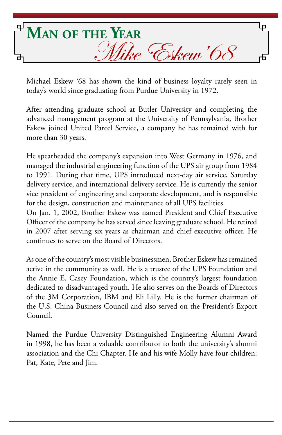

Michael Eskew '68 has shown the kind of business loyalty rarely seen in today's world since graduating from Purdue University in 1972.

After attending graduate school at Butler University and completing the advanced management program at the University of Pennsylvania, Brother Eskew joined United Parcel Service, a company he has remained with for more than 30 years.

He spearheaded the company's expansion into West Germany in 1976, and managed the industrial engineering function of the UPS air group from 1984 to 1991. During that time, UPS introduced next-day air service, Saturday delivery service, and international delivery service. He is currently the senior vice president of engineering and corporate development, and is responsible for the design, construction and maintenance of all UPS facilities.

On Jan. 1, 2002, Brother Eskew was named President and Chief Executive Officer of the company he has served since leaving graduate school. He retired in 2007 after serving six years as chairman and chief executive officer. He continues to serve on the Board of Directors.

As one of the country's most visible businessmen, Brother Eskew has remained active in the community as well. He is a trustee of the UPS Foundation and the Annie E. Casey Foundation, which is the country's largest foundation dedicated to disadvantaged youth. He also serves on the Boards of Directors of the 3M Corporation, IBM and Eli Lilly. He is the former chairman of the U.S. China Business Council and also served on the President's Export Council.

Named the Purdue University Distinguished Engineering Alumni Award in 1998, he has been a valuable contributor to both the university's alumni association and the Chi Chapter. He and his wife Molly have four children: Pat, Kate, Pete and Jim.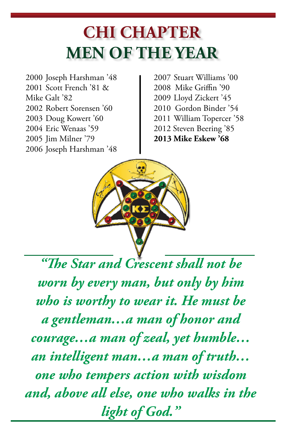### **Chi Chapter MEN OF THE YEAR**

 Joseph Harshman '48 Scott French '81 & Mike Galt '82 Robert Sorensen '60 Doug Kowert '60 Eric Wenaas '59 Jim Milner '79 Joseph Harshman '48

2007 Stuart Williams '00 2008 Mike Griffin '90 2009 Lloyd Zickert '45 2010 Gordon Binder '54 2011 William Topercer '58 2012 Steven Beering '85 **2013 Mike Eskew '68**



*"The Star and Crescent shall not be worn by every man, but only by him who is worthy to wear it. He must be a gentleman…a man of honor and courage…a man of zeal, yet humble… an intelligent man…a man of truth… one who tempers action with wisdom and, above all else, one who walks in the light of God."*